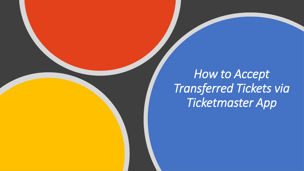# *How to Accept Transferred Tickets via Ticketmaster App*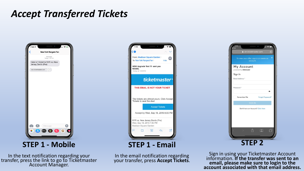## *Accept Transferred Tickets*



**STEP 1 - Mobile**

In the text notification regarding your transfer, press the link to go to Ticketmaster Account Manager.



**STEP 1 - Email**

In the email notification regarding your transfer, press **Accept Tickets**.



Sign in using your Ticketmaster Account information. **If the transfer was sent to an email, please make sure to login to the account associated with that email address.**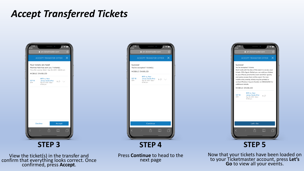## *Accept Transferred Tickets*



**STEP 3**

View the ticket(s) in the transfer and confirm that everything looks correct. Once confirmed, press **Accept**.



**STEP 4**



Now that your tickets have been loaded on to your Ticketmaster account, press **Let's Go** to view all your events.

Press **Continue** to head to the next page